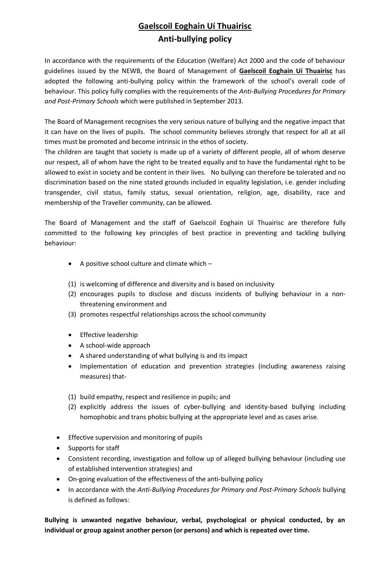# **Gaelscoil Eoghain Uí Thuairisc Anti-bullying policy**

In accordance with the requirements of the Education (Welfare) Act 2000 and the code of behaviour guidelines issued by the NEWB, the Board of Management of **Gaelscoil Eoghain Uí Thuairisc** has adopted the following anti-bullying policy within the framework of the school's overall code of behaviour. This policy fully complies with the requirements of the *Anti-Bullying Procedures for Primary and Post-Primary Schools* which were published in September 2013.

The Board of Management recognises the very serious nature of bullying and the negative impact that it can have on the lives of pupils. The school community believes strongly that respect for all at all times must be promoted and become intrinsic in the ethos of society.

The children are taught that society is made up of a variety of different people, all of whom deserve our respect, all of whom have the right to be treated equally and to have the fundamental right to be allowed to exist in society and be content in their lives. No bullying can therefore be tolerated and no discrimination based on the nine stated grounds included in equality legislation, i.e. gender including transgender, civil status, family status, sexual orientation, religion, age, disability, race and membership of the Traveller community, can be allowed.

The Board of Management and the staff of Gaelscoil Eoghain Uí Thuairisc are therefore fully committed to the following key principles of best practice in preventing and tackling bullying behaviour:

- A positive school culture and climate which  $-$
- (1) is welcoming of difference and diversity and is based on inclusivity
- (2) encourages pupils to disclose and discuss incidents of bullying behaviour in a nonthreatening environment and
- (3) promotes respectful relationships across the school community
- Effective leadership
- A school-wide approach
- A shared understanding of what bullying is and its impact
- Implementation of education and prevention strategies (including awareness raising measures) that-
- (1) build empathy, respect and resilience in pupils; and
- (2) explicitly address the issues of cyber-bullying and identity-based bullying including homophobic and trans phobic bullying at the appropriate level and as cases arise.
- **•** Effective supervision and monitoring of pupils
- Supports for staff
- Consistent recording, investigation and follow up of alleged bullying behaviour (including use of established intervention strategies) and
- On-going evaluation of the effectiveness of the anti-bullying policy
- In accordance with the *Anti-Bullying Procedures for Primary and Post-Primary Schools* bullying is defined as follows:

**Bullying is unwanted negative behaviour, verbal, psychological or physical conducted, by an individual or group against another person (or persons) and which is repeated over time.**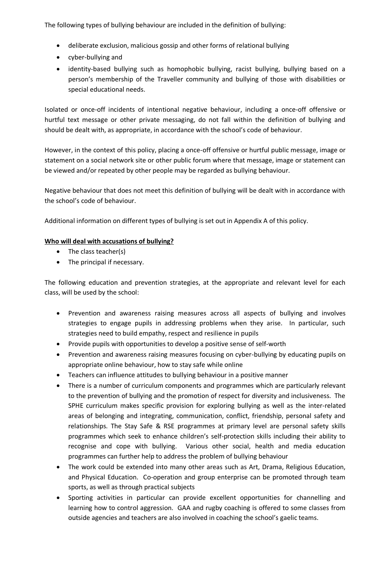The following types of bullying behaviour are included in the definition of bullying:

- deliberate exclusion, malicious gossip and other forms of relational bullying
- cyber-bullying and
- identity-based bullying such as homophobic bullying, racist bullying, bullying based on a person's membership of the Traveller community and bullying of those with disabilities or special educational needs.

Isolated or once-off incidents of intentional negative behaviour, including a once-off offensive or hurtful text message or other private messaging, do not fall within the definition of bullying and should be dealt with, as appropriate, in accordance with the school's code of behaviour.

However, in the context of this policy, placing a once-off offensive or hurtful public message, image or statement on a social network site or other public forum where that message, image or statement can be viewed and/or repeated by other people may be regarded as bullying behaviour.

Negative behaviour that does not meet this definition of bullying will be dealt with in accordance with the school's code of behaviour.

Additional information on different types of bullying is set out in Appendix A of this policy.

### **Who will deal with accusations of bullying?**

- The class teacher(s)
- The principal if necessary.

The following education and prevention strategies, at the appropriate and relevant level for each class, will be used by the school:

- Prevention and awareness raising measures across all aspects of bullying and involves strategies to engage pupils in addressing problems when they arise. In particular, such strategies need to build empathy, respect and resilience in pupils
- Provide pupils with opportunities to develop a positive sense of self-worth
- Prevention and awareness raising measures focusing on cyber-bullying by educating pupils on appropriate online behaviour, how to stay safe while online
- Teachers can influence attitudes to bullying behaviour in a positive manner
- There is a number of curriculum components and programmes which are particularly relevant to the prevention of bullying and the promotion of respect for diversity and inclusiveness. The SPHE curriculum makes specific provision for exploring bullying as well as the inter-related areas of belonging and integrating, communication, conflict, friendship, personal safety and relationships. The Stay Safe & RSE programmes at primary level are personal safety skills programmes which seek to enhance children's self-protection skills including their ability to recognise and cope with bullying. Various other social, health and media education programmes can further help to address the problem of bullying behaviour
- The work could be extended into many other areas such as Art, Drama, Religious Education, and Physical Education. Co-operation and group enterprise can be promoted through team sports, as well as through practical subjects
- Sporting activities in particular can provide excellent opportunities for channelling and learning how to control aggression. GAA and rugby coaching is offered to some classes from outside agencies and teachers are also involved in coaching the school's gaelic teams.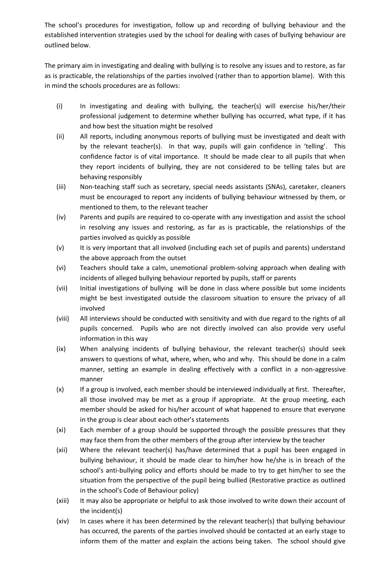The school's procedures for investigation, follow up and recording of bullying behaviour and the established intervention strategies used by the school for dealing with cases of bullying behaviour are outlined below.

The primary aim in investigating and dealing with bullying is to resolve any issues and to restore, as far as is practicable, the relationships of the parties involved (rather than to apportion blame). With this in mind the schools procedures are as follows:

- (i) In investigating and dealing with bullying, the teacher(s) will exercise his/her/their professional judgement to determine whether bullying has occurred, what type, if it has and how best the situation might be resolved
- (ii) All reports, including anonymous reports of bullying must be investigated and dealt with by the relevant teacher(s). In that way, pupils will gain confidence in 'telling'. This confidence factor is of vital importance. It should be made clear to all pupils that when they report incidents of bullying, they are not considered to be telling tales but are behaving responsibly
- (iii) Non-teaching staff such as secretary, special needs assistants (SNAs), caretaker, cleaners must be encouraged to report any incidents of bullying behaviour witnessed by them, or mentioned to them, to the relevant teacher
- (iv) Parents and pupils are required to co-operate with any investigation and assist the school in resolving any issues and restoring, as far as is practicable, the relationships of the parties involved as quickly as possible
- (v) It is very important that all involved (including each set of pupils and parents) understand the above approach from the outset
- (vi) Teachers should take a calm, unemotional problem-solving approach when dealing with incidents of alleged bullying behaviour reported by pupils, staff or parents
- (vii) Initial investigations of bullying will be done in class where possible but some incidents might be best investigated outside the classroom situation to ensure the privacy of all involved
- (viii) All interviews should be conducted with sensitivity and with due regard to the rights of all pupils concerned. Pupils who are not directly involved can also provide very useful information in this way
- (ix) When analysing incidents of bullying behaviour, the relevant teacher(s) should seek answers to questions of what, where, when, who and why. This should be done in a calm manner, setting an example in dealing effectively with a conflict in a non-aggressive manner
- (x) If a group is involved, each member should be interviewed individually at first. Thereafter, all those involved may be met as a group if appropriate. At the group meeting, each member should be asked for his/her account of what happened to ensure that everyone in the group is clear about each other's statements
- (xi) Each member of a group should be supported through the possible pressures that they may face them from the other members of the group after interview by the teacher
- (xii) Where the relevant teacher(s) has/have determined that a pupil has been engaged in bullying behaviour, it should be made clear to him/her how he/she is in breach of the school's anti-bullying policy and efforts should be made to try to get him/her to see the situation from the perspective of the pupil being bullied (Restorative practice as outlined in the school's Code of Behaviour policy)
- (xiii) It may also be appropriate or helpful to ask those involved to write down their account of the incident(s)
- (xiv) In cases where it has been determined by the relevant teacher(s) that bullying behaviour has occurred, the parents of the parties involved should be contacted at an early stage to inform them of the matter and explain the actions being taken. The school should give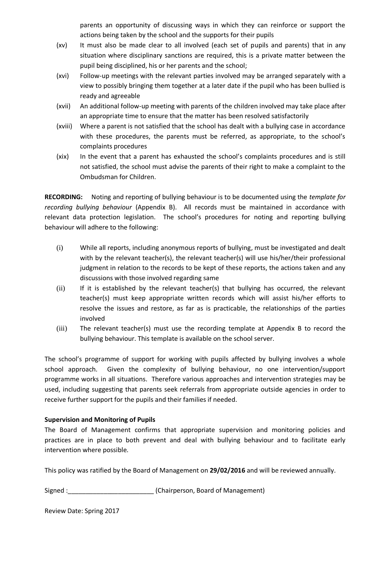parents an opportunity of discussing ways in which they can reinforce or support the actions being taken by the school and the supports for their pupils

- (xv) It must also be made clear to all involved (each set of pupils and parents) that in any situation where disciplinary sanctions are required, this is a private matter between the pupil being disciplined, his or her parents and the school;
- (xvi) Follow-up meetings with the relevant parties involved may be arranged separately with a view to possibly bringing them together at a later date if the pupil who has been bullied is ready and agreeable
- (xvii) An additional follow-up meeting with parents of the children involved may take place after an appropriate time to ensure that the matter has been resolved satisfactorily
- (xviii) Where a parent is not satisfied that the school has dealt with a bullying case in accordance with these procedures, the parents must be referred, as appropriate, to the school's complaints procedures
- (xix) In the event that a parent has exhausted the school's complaints procedures and is still not satisfied, the school must advise the parents of their right to make a complaint to the Ombudsman for Children.

**RECORDING:** Noting and reporting of bullying behaviour is to be documented using the *template for recording bullying behaviour* (Appendix B). All records must be maintained in accordance with relevant data protection legislation. The school's procedures for noting and reporting bullying behaviour will adhere to the following:

- (i) While all reports, including anonymous reports of bullying, must be investigated and dealt with by the relevant teacher(s), the relevant teacher(s) will use his/her/their professional judgment in relation to the records to be kept of these reports, the actions taken and any discussions with those involved regarding same
- (ii) If it is established by the relevant teacher(s) that bullying has occurred, the relevant teacher(s) must keep appropriate written records which will assist his/her efforts to resolve the issues and restore, as far as is practicable, the relationships of the parties involved
- (iii) The relevant teacher(s) must use the recording template at Appendix B to record the bullying behaviour. This template is available on the school server.

The school's programme of support for working with pupils affected by bullying involves a whole school approach. Given the complexity of bullying behaviour, no one intervention/support programme works in all situations. Therefore various approaches and intervention strategies may be used, including suggesting that parents seek referrals from appropriate outside agencies in order to receive further support for the pupils and their families if needed.

#### **Supervision and Monitoring of Pupils**

The Board of Management confirms that appropriate supervision and monitoring policies and practices are in place to both prevent and deal with bullying behaviour and to facilitate early intervention where possible.

This policy was ratified by the Board of Management on **29/02/2016** and will be reviewed annually.

Signed : Chairperson, Board of Management)

Review Date: Spring 2017